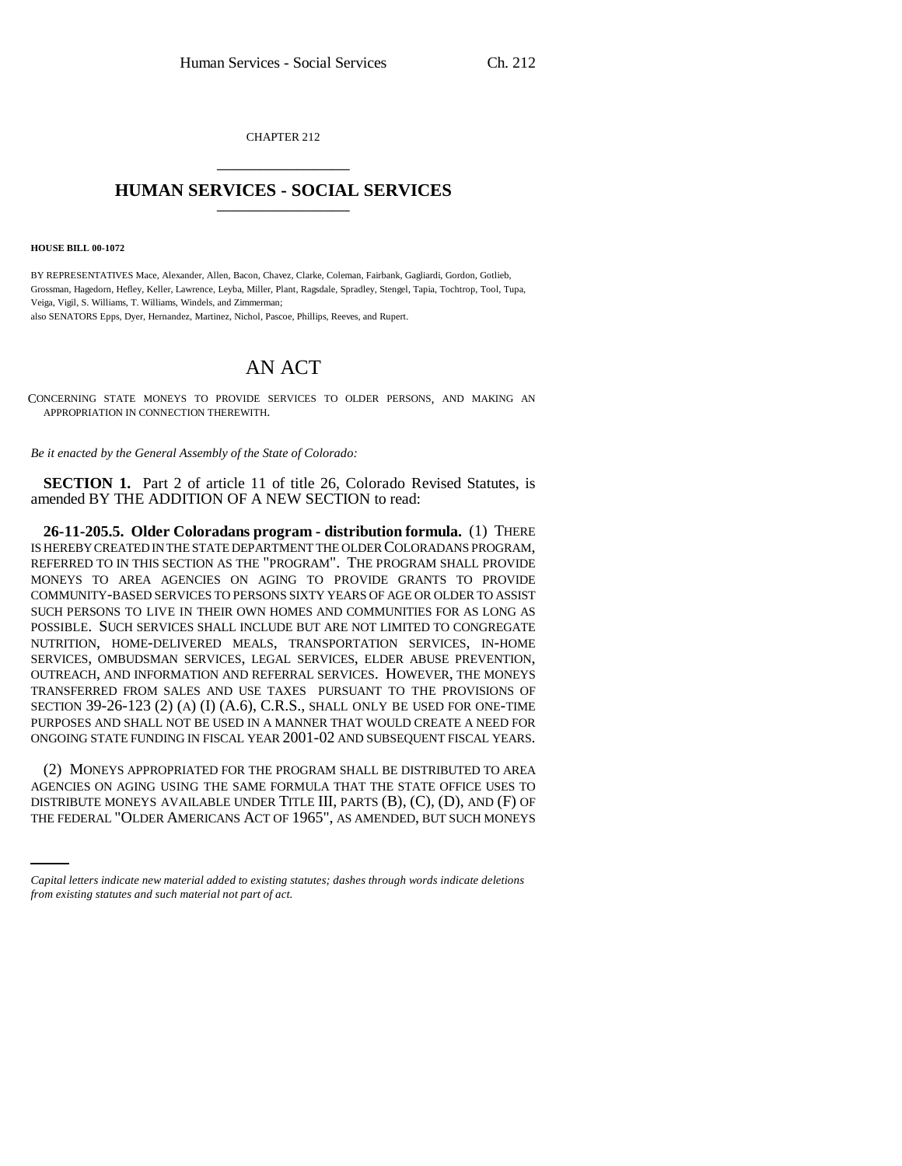CHAPTER 212 \_\_\_\_\_\_\_\_\_\_\_\_\_\_\_

## **HUMAN SERVICES - SOCIAL SERVICES** \_\_\_\_\_\_\_\_\_\_\_\_\_\_\_

**HOUSE BILL 00-1072** 

BY REPRESENTATIVES Mace, Alexander, Allen, Bacon, Chavez, Clarke, Coleman, Fairbank, Gagliardi, Gordon, Gotlieb, Grossman, Hagedorn, Hefley, Keller, Lawrence, Leyba, Miller, Plant, Ragsdale, Spradley, Stengel, Tapia, Tochtrop, Tool, Tupa, Veiga, Vigil, S. Williams, T. Williams, Windels, and Zimmerman; also SENATORS Epps, Dyer, Hernandez, Martinez, Nichol, Pascoe, Phillips, Reeves, and Rupert.

## AN ACT

CONCERNING STATE MONEYS TO PROVIDE SERVICES TO OLDER PERSONS, AND MAKING AN APPROPRIATION IN CONNECTION THEREWITH.

*Be it enacted by the General Assembly of the State of Colorado:*

**SECTION 1.** Part 2 of article 11 of title 26, Colorado Revised Statutes, is amended BY THE ADDITION OF A NEW SECTION to read:

**26-11-205.5. Older Coloradans program - distribution formula.** (1) THERE IS HEREBY CREATED IN THE STATE DEPARTMENT THE OLDER COLORADANS PROGRAM, REFERRED TO IN THIS SECTION AS THE "PROGRAM". THE PROGRAM SHALL PROVIDE MONEYS TO AREA AGENCIES ON AGING TO PROVIDE GRANTS TO PROVIDE COMMUNITY-BASED SERVICES TO PERSONS SIXTY YEARS OF AGE OR OLDER TO ASSIST SUCH PERSONS TO LIVE IN THEIR OWN HOMES AND COMMUNITIES FOR AS LONG AS POSSIBLE. SUCH SERVICES SHALL INCLUDE BUT ARE NOT LIMITED TO CONGREGATE NUTRITION, HOME-DELIVERED MEALS, TRANSPORTATION SERVICES, IN-HOME SERVICES, OMBUDSMAN SERVICES, LEGAL SERVICES, ELDER ABUSE PREVENTION, OUTREACH, AND INFORMATION AND REFERRAL SERVICES. HOWEVER, THE MONEYS TRANSFERRED FROM SALES AND USE TAXES PURSUANT TO THE PROVISIONS OF SECTION 39-26-123 (2) (A) (I) (A.6), C.R.S., SHALL ONLY BE USED FOR ONE-TIME PURPOSES AND SHALL NOT BE USED IN A MANNER THAT WOULD CREATE A NEED FOR ONGOING STATE FUNDING IN FISCAL YEAR 2001-02 AND SUBSEQUENT FISCAL YEARS.

AGENCIES ON AGING USING THE SAME FORMULA THAT THE STATE OFFICE USES TO (2) MONEYS APPROPRIATED FOR THE PROGRAM SHALL BE DISTRIBUTED TO AREA DISTRIBUTE MONEYS AVAILABLE UNDER TITLE III, PARTS (B), (C), (D), AND (F) OF THE FEDERAL "OLDER AMERICANS ACT OF 1965", AS AMENDED, BUT SUCH MONEYS

*Capital letters indicate new material added to existing statutes; dashes through words indicate deletions from existing statutes and such material not part of act.*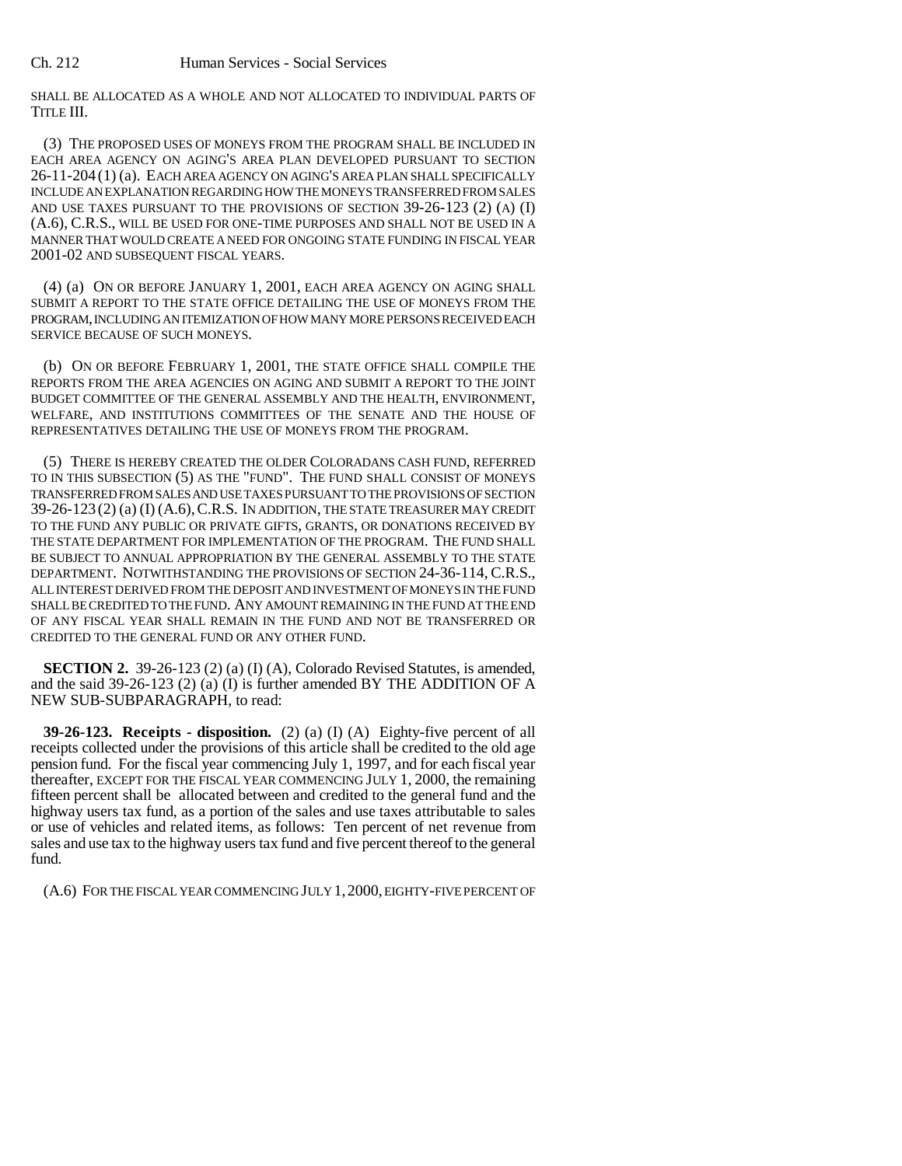SHALL BE ALLOCATED AS A WHOLE AND NOT ALLOCATED TO INDIVIDUAL PARTS OF TITLE III.

(3) THE PROPOSED USES OF MONEYS FROM THE PROGRAM SHALL BE INCLUDED IN EACH AREA AGENCY ON AGING'S AREA PLAN DEVELOPED PURSUANT TO SECTION 26-11-204 (1) (a). EACH AREA AGENCY ON AGING'S AREA PLAN SHALL SPECIFICALLY INCLUDE AN EXPLANATION REGARDING HOW THE MONEYS TRANSFERRED FROM SALES AND USE TAXES PURSUANT TO THE PROVISIONS OF SECTION 39-26-123 (2) (A) (I) (A.6), C.R.S., WILL BE USED FOR ONE-TIME PURPOSES AND SHALL NOT BE USED IN A MANNER THAT WOULD CREATE A NEED FOR ONGOING STATE FUNDING IN FISCAL YEAR 2001-02 AND SUBSEQUENT FISCAL YEARS.

(4) (a) ON OR BEFORE JANUARY 1, 2001, EACH AREA AGENCY ON AGING SHALL SUBMIT A REPORT TO THE STATE OFFICE DETAILING THE USE OF MONEYS FROM THE PROGRAM, INCLUDING AN ITEMIZATION OF HOW MANY MORE PERSONS RECEIVED EACH SERVICE BECAUSE OF SUCH MONEYS.

(b) ON OR BEFORE FEBRUARY 1, 2001, THE STATE OFFICE SHALL COMPILE THE REPORTS FROM THE AREA AGENCIES ON AGING AND SUBMIT A REPORT TO THE JOINT BUDGET COMMITTEE OF THE GENERAL ASSEMBLY AND THE HEALTH, ENVIRONMENT, WELFARE, AND INSTITUTIONS COMMITTEES OF THE SENATE AND THE HOUSE OF REPRESENTATIVES DETAILING THE USE OF MONEYS FROM THE PROGRAM.

(5) THERE IS HEREBY CREATED THE OLDER COLORADANS CASH FUND, REFERRED TO IN THIS SUBSECTION (5) AS THE "FUND". THE FUND SHALL CONSIST OF MONEYS TRANSFERRED FROM SALES AND USE TAXES PURSUANT TO THE PROVISIONS OF SECTION 39-26-123 (2) (a) (I) (A.6),C.R.S. IN ADDITION, THE STATE TREASURER MAY CREDIT TO THE FUND ANY PUBLIC OR PRIVATE GIFTS, GRANTS, OR DONATIONS RECEIVED BY THE STATE DEPARTMENT FOR IMPLEMENTATION OF THE PROGRAM. THE FUND SHALL BE SUBJECT TO ANNUAL APPROPRIATION BY THE GENERAL ASSEMBLY TO THE STATE DEPARTMENT. NOTWITHSTANDING THE PROVISIONS OF SECTION 24-36-114, C.R.S., ALL INTEREST DERIVED FROM THE DEPOSIT AND INVESTMENT OF MONEYS IN THE FUND SHALL BE CREDITED TO THE FUND. ANY AMOUNT REMAINING IN THE FUND AT THE END OF ANY FISCAL YEAR SHALL REMAIN IN THE FUND AND NOT BE TRANSFERRED OR CREDITED TO THE GENERAL FUND OR ANY OTHER FUND.

**SECTION 2.** 39-26-123 (2) (a) (I) (A), Colorado Revised Statutes, is amended, and the said 39-26-123 (2) (a) (I) is further amended BY THE ADDITION OF A NEW SUB-SUBPARAGRAPH, to read:

**39-26-123. Receipts - disposition.** (2) (a) (I) (A) Eighty-five percent of all receipts collected under the provisions of this article shall be credited to the old age pension fund. For the fiscal year commencing July 1, 1997, and for each fiscal year thereafter, EXCEPT FOR THE FISCAL YEAR COMMENCING JULY 1, 2000, the remaining fifteen percent shall be allocated between and credited to the general fund and the highway users tax fund, as a portion of the sales and use taxes attributable to sales or use of vehicles and related items, as follows: Ten percent of net revenue from sales and use tax to the highway users tax fund and five percent thereof to the general fund.

(A.6) FOR THE FISCAL YEAR COMMENCING JULY 1,2000, EIGHTY-FIVE PERCENT OF